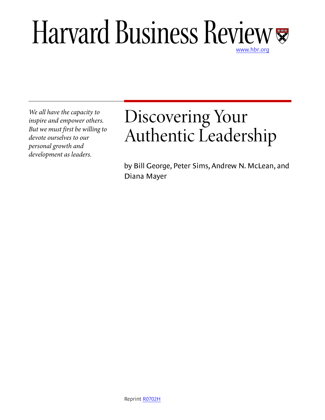## Harvard Business Review [www.hbr.org](http://www.hbr.org)

*We all have the capacity to inspire and empower others. But we must first be willing to devote ourselves to our personal growth and development as leaders.*

# Discovering Your Authentic Leadership

by Bill George, Peter Sims, Andrew N. McLean, and Diana Mayer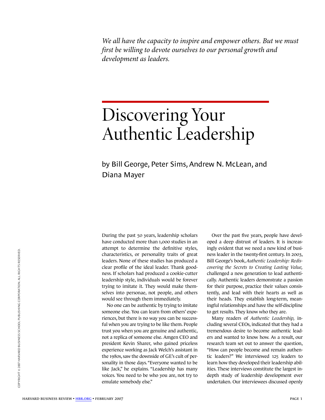*We all have the capacity to inspire and empower others. But we must first be willing to devote ourselves to our personal growth and development as leaders.*

## Discovering Your Authentic Leadership

by Bill George, Peter Sims, Andrew N. McLean, and Diana Mayer

During the past 50 years, leadership scholars have conducted more than 1,000 studies in an attempt to determine the definitive styles, characteristics, or personality traits of great leaders. None of these studies has produced a clear profile of the ideal leader. Thank goodness. If scholars had produced a cookie-cutter leadership style, individuals would be forever trying to imitate it. They would make themselves into personae, not people, and others would see through them immediately.

No one can be authentic by trying to imitate someone else. You can learn from others' experiences, but there is no way you can be successful when you are trying to be like them. People trust you when you are genuine and authentic, not a replica of someone else. Amgen CEO and president Kevin Sharer, who gained priceless experience working as Jack Welch's assistant in the 1980s, saw the downside of GE's cult of personality in those days. "Everyone wanted to be like Jack," he explains. "Leadership has many voices. You need to be who you are, not try to emulate somebody else."

Over the past five years, people have developed a deep distrust of leaders. It is increasingly evident that we need a new kind of business leader in the twenty-first century. In 2003, Bill George's book, *Authentic Leadership: Rediscovering the Secrets to Creating Lasting Value,* challenged a new generation to lead authentically. Authentic leaders demonstrate a passion for their purpose, practice their values consistently, and lead with their hearts as well as their heads. They establish long-term, meaningful relationships and have the self-discipline to get results. They know who they are.

Many readers of *Authentic Leadership,* including several CEOs, indicated that they had a tremendous desire to become authentic leaders and wanted to know how. As a result, our research team set out to answer the question, "How can people become and remain authentic leaders?" We interviewed 125 leaders to learn how they developed their leadership abilities. These interviews constitute the largest indepth study of leadership development ever undertaken. Our interviewees discussed openly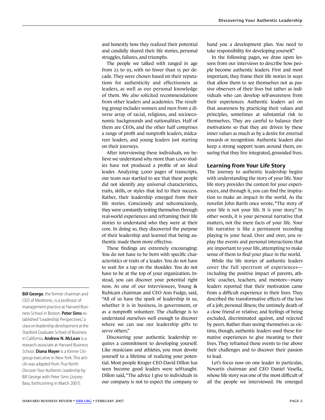and honestly how they realized their potential and candidly shared their life stories, personal struggles, failures, and triumphs.

The people we talked with ranged in age from 23 to 93, with no fewer than 15 per decade. They were chosen based on their reputations for authenticity and effectiveness as leaders, as well as our personal knowledge of them. We also solicited recommendations from other leaders and academics. The resulting group includes women and men from a diverse array of racial, religious, and socioeconomic backgrounds and nationalities. Half of them are CEOs, and the other half comprises a range of profit and nonprofit leaders, midcareer leaders, and young leaders just starting on their journeys.

After interviewing these individuals, we believe we understand why more than 1,000 studies have not produced a profile of an ideal leader. Analyzing 3,000 pages of transcripts, our team was startled to see that these people did not identify any universal characteristics, traits, skills, or styles that led to their success. Rather, their leadership emerged from their life stories. Consciously and subconsciously, they were constantly testing themselves through real-world experiences and reframing their life stories to understand who they were at their core. In doing so, they discovered the purpose of their leadership and learned that being authentic made them more effective.

These findings are extremely encouraging: You do not have to be born with specific characteristics or traits of a leader. You do not have to wait for a tap on the shoulder. You do not have to be at the top of your organization. Instead, you can discover your potential right now. As one of our interviewees, Young & Rubicam chairman and CEO Ann Fudge, said, "All of us have the spark of leadership in us, whether it is in business, in government, or as a nonprofit volunteer. The challenge is to understand ourselves well enough to discover where we can use our leadership gifts to serve others."

Discovering your authentic leadership requires a commitment to developing yourself. Like musicians and athletes, you must devote yourself to a lifetime of realizing your potential. Most people Kroger CEO David Dillon has seen become good leaders were self-taught. Dillon said, "The advice I give to individuals in our company is not to expect the company to hand you a development plan. You need to take responsibility for developing yourself."

In the following pages, we draw upon lessons from our interviews to describe how people become authentic leaders. First and most important, they frame their life stories in ways that allow them to see themselves not as passive observers of their lives but rather as individuals who can develop self-awareness from their experiences. Authentic leaders act on that awareness by practicing their values and principles, sometimes at substantial risk to themselves. They are careful to balance their motivations so that they are driven by these inner values as much as by a desire for external rewards or recognition. Authentic leaders also keep a strong support team around them, ensuring that they live integrated, grounded lives.

#### **Learning from Your Life Story**

The journey to authentic leadership begins with understanding the story of your life. Your life story provides the context for your experiences, and through it, you can find the inspiration to make an impact in the world. As the novelist John Barth once wrote, "The story of your life is not your life. It is your story." In other words, it is your personal narrative that matters, not the mere facts of your life. Your life narrative is like a permanent recording playing in your head. Over and over, you replay the events and personal interactions that are important to your life, attempting to make sense of them to find your place in the world.

While the life stories of authentic leaders cover the full spectrum of experiences including the positive impact of parents, athletic coaches, teachers, and mentors—many leaders reported that their motivation came from a difficult experience in their lives. They described the transformative effects of the loss of a job; personal illness; the untimely death of a close friend or relative; and feelings of being excluded, discriminated against, and rejected by peers. Rather than seeing themselves as victims, though, authentic leaders used these formative experiences to give meaning to their lives. They reframed these events to rise above their challenges and to discover their passion to lead.

Let's focus now on one leader in particular, Novartis chairman and CEO Daniel Vasella, whose life story was one of the most difficult of all the people we interviewed. He emerged

**Bill George**, the former chairman and CEO of Medtronic, is a professor of management practice at Harvard Business School in Boston. **Peter Sims** established "Leadership Perspectives," a class on leadership development at the Stanford Graduate School of Business in California. **Andrew N. McLean** is a research associate at Harvard Business School. **Diana Mayer** is a former Citigroup executive in New York. This article was adapted from True North: Discover Your Authentic Leadership by Bill George with Peter Sims (Jossey-Bass, forthcoming in March 2007).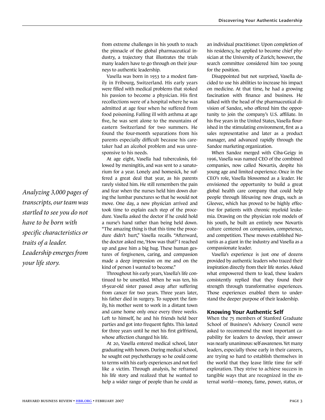from extreme challenges in his youth to reach the pinnacle of the global pharmaceutical industry, a trajectory that illustrates the trials many leaders have to go through on their journeys to authentic leadership.

Vasella was born in 1953 to a modest family in Fribourg, Switzerland. His early years were filled with medical problems that stoked his passion to become a physician. His first recollections were of a hospital where he was admitted at age four when he suffered from food poisoning. Falling ill with asthma at age five, he was sent alone to the mountains of eastern Switzerland for two summers. He found the four-month separations from his parents especially difficult because his caretaker had an alcohol problem and was unresponsive to his needs.

At age eight, Vasella had tuberculosis, followed by meningitis, and was sent to a sanatorium for a year. Lonely and homesick, he suffered a great deal that year, as his parents rarely visited him. He still remembers the pain and fear when the nurses held him down during the lumbar punctures so that he would not move. One day, a new physician arrived and took time to explain each step of the procedure. Vasella asked the doctor if he could hold a nurse's hand rather than being held down. "The amazing thing is that this time the procedure didn't hurt," Vasella recalls. "Afterward, the doctor asked me, 'How was that?' I reached up and gave him a big hug. These human gestures of forgiveness, caring, and compassion made a deep impression on me and on the kind of person I wanted to become."

Throughout his early years, Vasella's life continued to be unsettled. When he was ten, his 18-year-old sister passed away after suffering from cancer for two years. Three years later, his father died in surgery. To support the family, his mother went to work in a distant town and came home only once every three weeks. Left to himself, he and his friends held beer parties and got into frequent fights. This lasted for three years until he met his first girlfriend, whose affection changed his life.

At 20, Vasella entered medical school, later graduating with honors. During medical school, he sought out psychotherapy so he could come to terms with his early experiences and not feel like a victim. Through analysis, he reframed his life story and realized that he wanted to help a wider range of people than he could as

an individual practitioner. Upon completion of his residency, he applied to become chief physician at the University of Zurich; however, the search committee considered him too young for the position.

Disappointed but not surprised, Vasella decided to use his abilities to increase his impact on medicine. At that time, he had a growing fascination with finance and business. He talked with the head of the pharmaceutical division of Sandoz, who offered him the opportunity to join the company's U.S. affiliate. In his five years in the United States, Vasella flourished in the stimulating environment, first as a sales representative and later as a product manager, and advanced rapidly through the Sandoz marketing organization.

When Sandoz merged with Ciba-Geigy in 1996, Vasella was named CEO of the combined companies, now called Novartis, despite his young age and limited experience. Once in the CEO's role, Vasella blossomed as a leader. He envisioned the opportunity to build a great global health care company that could help people through lifesaving new drugs, such as Gleevec, which has proved to be highly effective for patients with chronic myeloid leukemia. Drawing on the physician role models of his youth, he built an entirely new Novartis culture centered on compassion, competence, and competition. These moves established Novartis as a giant in the industry and Vasella as a compassionate leader.

Vasella's experience is just one of dozens provided by authentic leaders who traced their inspiration directly from their life stories. Asked what empowered them to lead, these leaders consistently replied that they found their strength through transformative experiences. Those experiences enabled them to understand the deeper purpose of their leadership.

#### **Knowing Your Authentic Self**

When the 75 members of Stanford Graduate School of Business's Advisory Council were asked to recommend the most important capability for leaders to develop, their answer was nearly unanimous: self-awareness. Yet many leaders, especially those early in their careers, are trying so hard to establish themselves in the world that they leave little time for selfexploration. They strive to achieve success in tangible ways that are recognized in the external world—money, fame, power, status, or

*Analyzing 3,000 pages of transcripts, our team was startled to see you do not have to be born with specific characteristics or traits of a leader. Leadership emerges from your life story.*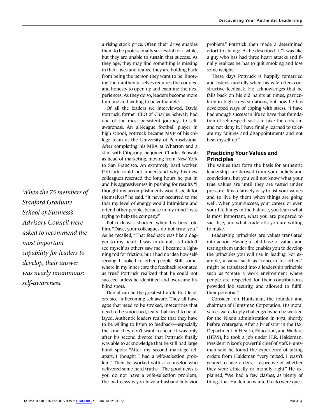a rising stock price. Often their drive enables them to be professionally successful for a while, but they are unable to sustain that success. As they age, they may find something is missing in their lives and realize they are holding back from being the person they want to be. Knowing their authentic selves requires the courage and honesty to open up and examine their experiences. As they do so, leaders become more humane and willing to be vulnerable.

Of all the leaders we interviewed, David Pottruck, former CEO of Charles Schwab, had one of the most persistent journeys to selfawareness. An all-league football player in high school, Pottruck became MVP of his college team at the University of Pennsylvania. After completing his MBA at Wharton and a stint with Citigroup, he joined Charles Schwab as head of marketing, moving from New York to San Francisco. An extremely hard worker, Pottruck could not understand why his new colleagues resented the long hours he put in and his aggressiveness in pushing for results. "I thought my accomplishments would speak for themselves," he said. "It never occurred to me that my level of energy would intimidate and offend other people, because in my mind I was trying to help the company."

Pottruck was shocked when his boss told him, "Dave, your colleagues do not trust you." As he recalled, "That feedback was like a dagger to my heart. I was in denial, as I didn't see myself as others saw me. I became a lightning rod for friction, but I had no idea how selfserving I looked to other people. Still, somewhere in my inner core the feedback resonated as true." Pottruck realized that he could not succeed unless he identified and overcame his blind spots.

Denial can be the greatest hurdle that leaders face in becoming self-aware. They all have egos that need to be stroked, insecurities that need to be smoothed, fears that need to be allayed. Authentic leaders realize that they have to be willing to listen to feedback—especially the kind they don't want to hear. It was only after his second divorce that Pottruck finally was able to acknowledge that he still had large blind spots: "After my second marriage fell apart, I thought I had a wife-selection problem." Then he worked with a counselor who delivered some hard truths: "The good news is you do not have a wife-selection problem; the bad news is you have a husband-behavior

problem." Pottruck then made a determined effort to change. As he described it, "I was like a guy who has had three heart attacks and finally realizes he has to quit smoking and lose some weight."

These days Pottruck is happily remarried and listens carefully when his wife offers constructive feedback. He acknowledges that he falls back on his old habits at times, particularly in high stress situations, but now he has developed ways of coping with stress. "I have had enough success in life to have that foundation of self-respect, so I can take the criticism and not deny it. I have finally learned to tolerate my failures and disappointments and not beat myself up."

#### **Practicing Your Values and Principles**

The values that form the basis for authentic leadership are derived from your beliefs and convictions, but you will not know what your true values are until they are tested under pressure. It is relatively easy to list your values and to live by them when things are going well. When your success, your career, or even your life hangs in the balance, you learn what is most important, what you are prepared to sacrifice, and what trade-offs you are willing to make.

Leadership principles are values translated into action. Having a solid base of values and testing them under fire enables you to develop the principles you will use in leading. For example, a value such as "concern for others" might be translated into a leadership principle such as "create a work environment where people are respected for their contributions, provided job security, and allowed to fulfill their potential."

Consider Jon Huntsman, the founder and chairman of Huntsman Corporation. His moral values were deeply challenged when he worked for the Nixon administration in 1972, shortly before Watergate. After a brief stint in the U.S. Department of Health, Education, and Welfare (HEW), he took a job under H.R. Haldeman, President Nixon's powerful chief of staff. Huntsman said he found the experience of taking orders from Haldeman "very mixed. I wasn't geared to take orders, irrespective of whether they were ethically or morally right." He explained, "We had a few clashes, as plenty of things that Haldeman wanted to do were ques-

*When the 75 members of Stanford Graduate School of Business's Advisory Council were asked to recommend the most important capability for leaders to develop, their answer was nearly unanimous: self-awareness.*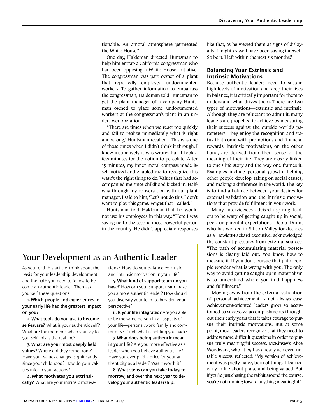tionable. An amoral atmosphere permeated the White House."

One day, Haldeman directed Huntsman to help him entrap a California congressman who had been opposing a White House initiative. The congressman was part owner of a plant that reportedly employed undocumented workers. To gather information to embarrass the congressman, Haldeman told Huntsman to get the plant manager of a company Huntsman owned to place some undocumented workers at the congressman's plant in an undercover operation.

"There are times when we react too quickly and fail to realize immediately what is right and wrong," Huntsman recalled. "This was one of those times when I didn't think it through. I knew instinctively it was wrong, but it took a few minutes for the notion to percolate. After 15 minutes, my inner moral compass made itself noticed and enabled me to recognize this wasn't the right thing to do. Values that had accompanied me since childhood kicked in. Halfway through my conversation with our plant manager, I said to him, 'Let's not do this. I don't want to play this game. Forget that I called.'"

Huntsman told Haldeman that he would not use his employees in this way. "Here I was saying no to the second most powerful person in the country. He didn't appreciate responses

### **Your Development as an Authentic Leader**

As you read this article, think about the basis for your leadership development and the path you need to follow to become an authentic leader. Then ask yourself these questions:

**1. Which people and experiences in your early life had the greatest impact on you?**

**2. What tools do you use to become self-aware?** What is your authentic self? What are the moments when you say to yourself, this is the real me?

**3. What are your most deeply held values?** Where did they come from? Have your values changed significantly since your childhood? How do your values inform your actions?

**4. What motivates you extrinsically?** What are your intrinsic motivations? How do you balance extrinsic and intrinsic motivation in your life?

**5. What kind of support team do you have?** How can your support team make you a more authentic leader? How should you diversify your team to broaden your perspective?

**6. Is your life integrated?** Are you able to be the same person in all aspects of your life—personal, work, family, and community? If not, what is holding you back?

**7. What does being authentic mean in your life?** Are you more effective as a leader when you behave authentically? Have you ever paid a price for your authenticity as a leader? Was it worth it?

**8. What steps can you take today, tomorrow, and over the next year to develop your authentic leadership?**

like that, as he viewed them as signs of disloyalty. I might as well have been saying farewell. So be it. I left within the next six months."

#### **Balancing Your Extrinsic and Intrinsic Motivations**

Because authentic leaders need to sustain high levels of motivation and keep their lives in balance, it is critically important for them to understand what drives them. There are two types of motivations—extrinsic and intrinsic. Although they are reluctant to admit it, many leaders are propelled to achieve by measuring their success against the outside world's parameters. They enjoy the recognition and status that come with promotions and financial rewards. Intrinsic motivations, on the other hand, are derived from their sense of the meaning of their life. They are closely linked to one's life story and the way one frames it. Examples include personal growth, helping other people develop, taking on social causes, and making a difference in the world. The key is to find a balance between your desires for external validation and the intrinsic motivations that provide fulfillment in your work.

Many interviewees advised aspiring leaders to be wary of getting caught up in social, peer, or parental expectations. Debra Dunn, who has worked in Silicon Valley for decades as a Hewlett-Packard executive, acknowledged the constant pressures from external sources: "The path of accumulating material possessions is clearly laid out. You know how to measure it. If you don't pursue that path, people wonder what is wrong with you. The only way to avoid getting caught up in materialism is to understand where you find happiness and fulfillment."

Moving away from the external validation of personal achievement is not always easy. Achievement-oriented leaders grow so accustomed to successive accomplishments throughout their early years that it takes courage to pursue their intrinsic motivations. But at some point, most leaders recognize that they need to address more difficult questions in order to pursue truly meaningful success. McKinsey's Alice Woodwark, who at 29 has already achieved notable success, reflected: "My version of achievement was pretty naive, born of things I learned early in life about praise and being valued. But if you're just chasing the rabbit around the course, you're not running toward anything meaningful."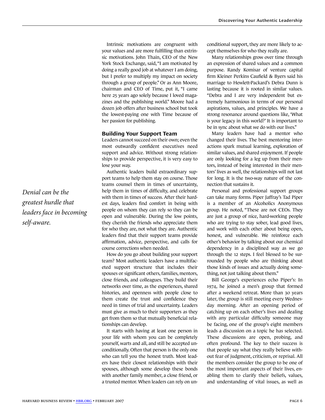Intrinsic motivations are congruent with your values and are more fulfilling than extrinsic motivations. John Thain, CEO of the New York Stock Exchange, said, "I am motivated by doing a really good job at whatever I am doing, but I prefer to multiply my impact on society through a group of people." Or as Ann Moore, chairman and CEO of Time, put it, "I came here 25 years ago solely because I loved magazines and the publishing world." Moore had a dozen job offers after business school but took the lowest-paying one with Time because of her passion for publishing.

#### **Building Your Support Team**

Leaders cannot succeed on their own; even the most outwardly confident executives need support and advice. Without strong relationships to provide perspective, it is very easy to lose your way.

Authentic leaders build extraordinary support teams to help them stay on course. Those teams counsel them in times of uncertainty, help them in times of difficulty, and celebrate with them in times of success. After their hardest days, leaders find comfort in being with people on whom they can rely so they can be open and vulnerable. During the low points, they cherish the friends who appreciate them for who they are, not what they are. Authentic leaders find that their support teams provide affirmation, advice, perspective, and calls for course corrections when needed.

How do you go about building your support team? Most authentic leaders have a multifaceted support structure that includes their spouses or significant others, families, mentors, close friends, and colleagues. They build their networks over time, as the experiences, shared histories, and openness with people close to them create the trust and confidence they need in times of trial and uncertainty. Leaders must give as much to their supporters as they get from them so that mutually beneficial relationships can develop.

It starts with having at least one person in your life with whom you can be completely yourself, warts and all, and still be accepted unconditionally. Often that person is the only one who can tell you the honest truth. Most leaders have their closest relationships with their spouses, although some develop these bonds with another family member, a close friend, or a trusted mentor. When leaders can rely on unconditional support, they are more likely to accept themselves for who they really are.

Many relationships grow over time through an expression of shared values and a common purpose. Randy Komisar of venture capital firm Kleiner Perkins Caufield & Byers said his marriage to Hewlett-Packard's Debra Dunn is lasting because it is rooted in similar values. "Debra and I are very independent but extremely harmonious in terms of our personal aspirations, values, and principles. We have a strong resonance around questions like, 'What is your legacy in this world?' It is important to be in sync about what we do with our lives."

Many leaders have had a mentor who changed their lives. The best mentoring interactions spark mutual learning, exploration of similar values, and shared enjoyment. If people are only looking for a leg up from their mentors, instead of being interested in their mentors' lives as well, the relationships will not last for long. It is the two-way nature of the connection that sustains it.

Personal and professional support groups can take many forms. Piper Jaffray's Tad Piper is a member of an Alcoholics Anonymous group. He noted, "These are not CEOs. They are just a group of nice, hard-working people who are trying to stay sober, lead good lives, and work with each other about being open, honest, and vulnerable. We reinforce each other's behavior by talking about our chemical dependency in a disciplined way as we go through the 12 steps. I feel blessed to be surrounded by people who are thinking about those kinds of issues and actually doing something, not just talking about them."

Bill George's experiences echo Piper's: In 1974, he joined a men's group that formed after a weekend retreat. More than 30 years later, the group is still meeting every Wednesday morning. After an opening period of catching up on each other's lives and dealing with any particular difficulty someone may be facing, one of the group's eight members leads a discussion on a topic he has selected. These discussions are open, probing, and often profound. The key to their success is that people say what they really believe without fear of judgment, criticism, or reprisal. All the members consider the group to be one of the most important aspects of their lives, enabling them to clarify their beliefs, values, and understanding of vital issues, as well as

*Denial can be the greatest hurdle that leaders face in becoming self-aware.*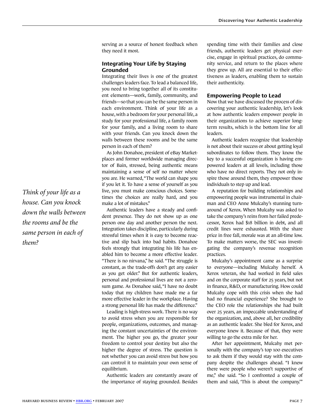serving as a source of honest feedback when they need it most.

#### **Integrating Your Life by Staying Grounded**

Integrating their lives is one of the greatest challenges leaders face. To lead a balanced life, you need to bring together all of its constituent elements—work, family, community, and friends—so that you can be the same person in each environment. Think of your life as a house, with a bedroom for your personal life, a study for your professional life, a family room for your family, and a living room to share with your friends. Can you knock down the walls between these rooms and be the same person in each of them?

As John Donahoe, president of eBay Marketplaces and former worldwide managing director of Bain, stressed, being authentic means maintaining a sense of self no matter where you are. He warned, "The world can shape you if you let it. To have a sense of yourself as you live, you must make conscious choices. Sometimes the choices are really hard, and you make a lot of mistakes."

Authentic leaders have a steady and confident presence. They do not show up as one person one day and another person the next. Integration takes discipline, particularly during stressful times when it is easy to become reactive and slip back into bad habits. Donahoe feels strongly that integrating his life has enabled him to become a more effective leader. "There is no nirvana," he said. "The struggle is constant, as the trade-offs don't get any easier as you get older." But for authentic leaders, personal and professional lives are not a zerosum game. As Donahoe said, "I have no doubt today that my children have made me a far more effective leader in the workplace. Having a strong personal life has made the difference."

Leading is high-stress work. There is no way to avoid stress when you are responsible for people, organizations, outcomes, and managing the constant uncertainties of the environment. The higher you go, the greater your freedom to control your destiny but also the higher the degree of stress. The question is not whether you can avoid stress but how you can control it to maintain your own sense of equilibrium.

Authentic leaders are constantly aware of the importance of staying grounded. Besides

spending time with their families and close friends, authentic leaders get physical exercise, engage in spiritual practices, do community service, and return to the places where they grew up. All are essential to their effectiveness as leaders, enabling them to sustain their authenticity.

#### **Empowering People to Lead**

Now that we have discussed the process of discovering your authentic leadership, let's look at how authentic leaders empower people in their organizations to achieve superior longterm results, which is the bottom line for all leaders.

Authentic leaders recognize that leadership is not about their success or about getting loyal subordinates to follow them. They know the key to a successful organization is having empowered leaders at all levels, including those who have no direct reports. They not only inspire those around them, they empower those individuals to step up and lead.

A reputation for building relationships and empowering people was instrumental in chairman and CEO Anne Mulcahy's stunning turnaround of Xerox. When Mulcahy was asked to take the company's reins from her failed predecessor, Xerox had \$18 billion in debt, and all credit lines were exhausted. With the share price in free fall, morale was at an all-time low. To make matters worse, the SEC was investigating the company's revenue recognition practices.

Mulcahy's appointment came as a surprise to everyone—including Mulcahy herself. A Xerox veteran, she had worked in field sales and on the corporate staff for 25 years, but not in finance, R&D, or manufacturing. How could Mulcahy cope with this crisis when she had had no financial experience? She brought to the CEO role the relationships she had built over 25 years, an impeccable understanding of the organization, and, above all, her credibility as an authentic leader. She bled for Xerox, and everyone knew it. Because of that, they were willing to go the extra mile for her.

After her appointment, Mulcahy met personally with the company's top 100 executives to ask them if they would stay with the company despite the challenges ahead. "I knew there were people who weren't supportive of me," she said. "So I confronted a couple of them and said, 'This is about the company.'"

*Think of your life as a house. Can you knock down the walls between the rooms and be the same person in each of them?*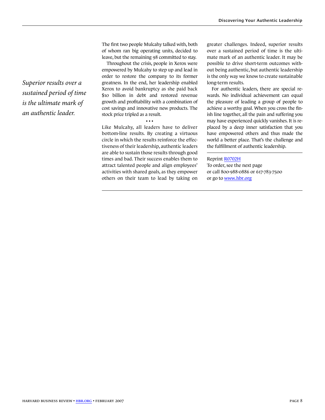*Superior results over a sustained period of time is the ultimate mark of an authentic leader.*

The first two people Mulcahy talked with, both of whom ran big operating units, decided to leave, but the remaining 98 committed to stay.

Throughout the crisis, people in Xerox were empowered by Mulcahy to step up and lead in order to restore the company to its former greatness. In the end, her leadership enabled Xerox to avoid bankruptcy as she paid back \$10 billion in debt and restored revenue growth and profitability with a combination of cost savings and innovative new products. The stock price tripled as a result.

• • •

Like Mulcahy, all leaders have to deliver bottom-line results. By creating a virtuous circle in which the results reinforce the effectiveness of their leadership, authentic leaders are able to sustain those results through good times and bad. Their success enables them to attract talented people and align employees' activities with shared goals, as they empower others on their team to lead by taking on

greater challenges. Indeed, superior results over a sustained period of time is the ultimate mark of an authentic leader. It may be possible to drive short-term outcomes without being authentic, but authentic leadership is the only way we know to create sustainable long-term results.

For authentic leaders, there are special rewards. No individual achievement can equal the pleasure of leading a group of people to achieve a worthy goal. When you cross the finish line together, all the pain and suffering you may have experienced quickly vanishes. It is replaced by a deep inner satisfaction that you have empowered others and thus made the world a better place. That's the challenge and the fulfillment of authentic leadership.

#### Reprint [R0702H](http://harvardbusinessonline.hbsp.harvard.edu/relay.jhtml?name=itemdetail&referral=4320&id=R0702H)

To order, see the next page or call 800-988-0886 or 617-783-7500 or go to [www.hbr.org](http://www.hbr.org)